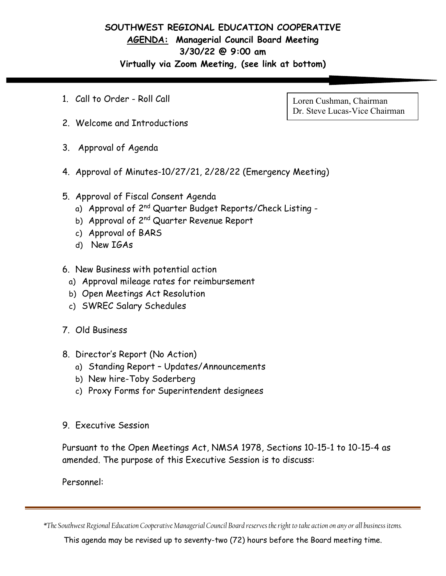## **SOUTHWEST REGIONAL EDUCATION COOPERATIVE AGENDA: Managerial Council Board Meeting 3/30/22 @ 9:00 am Virtually via Zoom Meeting, (see link at bottom)**

1. Call to Order - Roll Call

Loren Cushman, Chairman Dr. Steve Lucas-Vice Chairman

- 2. Welcome and Introductions
- 3. Approval of Agenda
- 4. Approval of Minutes-10/27/21, 2/28/22 (Emergency Meeting)
- 5. Approval of Fiscal Consent Agenda
	- a) Approval of 2<sup>nd</sup> Quarter Budget Reports/Check Listing -
	- b) Approval of 2<sup>nd</sup> Quarter Revenue Report
	- c) Approval of BARS
	- d) New IGAs
- 6. New Business with potential action
	- a) Approval mileage rates for reimbursement
	- b) Open Meetings Act Resolution
	- c) SWREC Salary Schedules
- 7. Old Business
- 8. Director's Report (No Action)
	- a) Standing Report Updates/Announcements
	- b) New hire-Toby Soderberg
	- c) Proxy Forms for Superintendent designees
- 9. Executive Session

Pursuant to the Open Meetings Act, NMSA 1978, Sections 10-15-1 to 10-15-4 as amended. The purpose of this Executive Session is to discuss:

Personnel:

*\*The Southwest Regional Education Cooperative Managerial Council Board reserves the right to take action on any or all business items.*

This agenda may be revised up to seventy-two (72) hours before the Board meeting time.